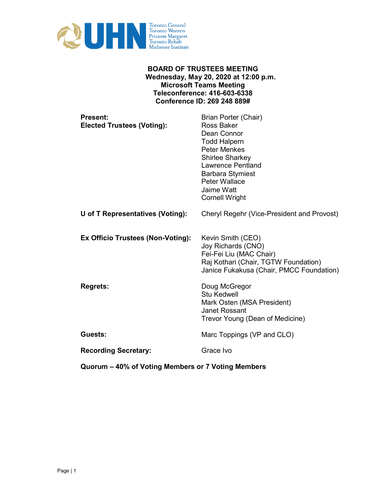

# **BOARD OF TRUSTEES MEETING Wednesday, May 20, 2020 at 12:00 p.m. Microsoft Teams Meeting Teleconference: 416-603-6338 Conference ID: 269 248 889#**

| <b>Present:</b><br><b>Elected Trustees (Voting):</b> | Brian Porter (Chair)<br><b>Ross Baker</b><br>Dean Connor<br><b>Todd Halpern</b><br><b>Peter Menkes</b><br>Shirlee Sharkey<br><b>Lawrence Pentland</b><br><b>Barbara Stymiest</b><br><b>Peter Wallace</b><br>Jaime Watt<br><b>Cornell Wright</b> |
|------------------------------------------------------|-------------------------------------------------------------------------------------------------------------------------------------------------------------------------------------------------------------------------------------------------|
| U of T Representatives (Voting):                     | Cheryl Regehr (Vice-President and Provost)                                                                                                                                                                                                      |
| Ex Officio Trustees (Non-Voting):                    | Kevin Smith (CEO)<br>Joy Richards (CNO)<br>Fei-Fei Liu (MAC Chair)<br>Raj Kothari (Chair, TGTW Foundation)<br>Janice Fukakusa (Chair, PMCC Foundation)                                                                                          |
| <b>Regrets:</b>                                      | Doug McGregor<br><b>Stu Kedwell</b><br>Mark Osten (MSA President)<br>Janet Rossant<br>Trevor Young (Dean of Medicine)                                                                                                                           |
| Guests:                                              | Marc Toppings (VP and CLO)                                                                                                                                                                                                                      |
| <b>Recording Secretary:</b>                          | Grace Ivo                                                                                                                                                                                                                                       |

**Quorum – 40% of Voting Members or 7 Voting Members**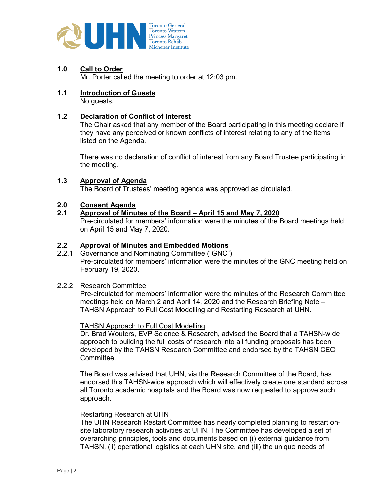

**1.0 Call to Order** 

Mr. Porter called the meeting to order at 12:03 pm.

**1.1 Introduction of Guests**  No guests.

# **1.2 Declaration of Conflict of Interest**

The Chair asked that any member of the Board participating in this meeting declare if they have any perceived or known conflicts of interest relating to any of the items listed on the Agenda.

There was no declaration of conflict of interest from any Board Trustee participating in the meeting.

# **1.3 Approval of Agenda**

The Board of Trustees' meeting agenda was approved as circulated.

#### **2.0 Consent Agenda**

# **2.1 Approval of Minutes of the Board – April 15 and May 7, 2020**

Pre-circulated for members' information were the minutes of the Board meetings held on April 15 and May 7, 2020.

# **2.2 Approval of Minutes and Embedded Motions**

2.2.1 Governance and Nominating Committee ("GNC") Pre-circulated for members' information were the minutes of the GNC meeting held on February 19, 2020.

#### 2.2.2 Research Committee

Pre-circulated for members' information were the minutes of the Research Committee meetings held on March 2 and April 14, 2020 and the Research Briefing Note – TAHSN Approach to Full Cost Modelling and Restarting Research at UHN.

#### TAHSN Approach to Full Cost Modelling

Dr. Brad Wouters, EVP Science & Research, advised the Board that a TAHSN-wide approach to building the full costs of research into all funding proposals has been developed by the TAHSN Research Committee and endorsed by the TAHSN CEO Committee.

The Board was advised that UHN, via the Research Committee of the Board, has endorsed this TAHSN-wide approach which will effectively create one standard across all Toronto academic hospitals and the Board was now requested to approve such approach.

#### Restarting Research at UHN

The UHN Research Restart Committee has nearly completed planning to restart onsite laboratory research activities at UHN. The Committee has developed a set of overarching principles, tools and documents based on (i) external guidance from TAHSN, (ii) operational logistics at each UHN site, and (iii) the unique needs of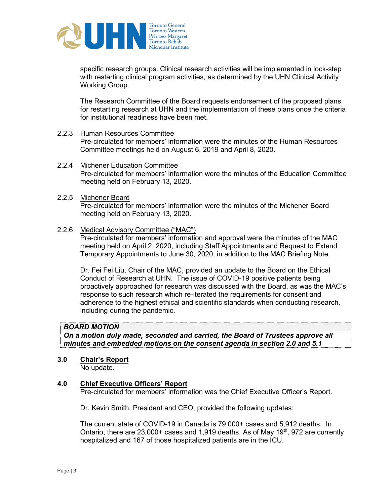

specific research groups. Clinical research activities will be implemented in lock-step with restarting clinical program activities, as determined by the UHN Clinical Activity Working Group.

The Research Committee of the Board requests endorsement of the proposed plans for restarting research at UHN and the implementation of these plans once the criteria for institutional readiness have been met.

# 2.2.3 Human Resources Committee

Pre-circulated for members' information were the minutes of the Human Resources Committee meetings held on August 6, 2019 and April 8, 2020.

- 2.2.4 Michener Education Committee Pre-circulated for members' information were the minutes of the Education Committee meeting held on February 13, 2020.
- 2.2.5 Michener Board Pre-circulated for members' information were the minutes of the Michener Board meeting held on February 13, 2020.

#### 2.2.6 Medical Advisory Committee ("MAC")

Pre-circulated for members' information and approval were the minutes of the MAC meeting held on April 2, 2020, including Staff Appointments and Request to Extend Temporary Appointments to June 30, 2020, in addition to the MAC Briefing Note.

Dr. Fei Fei Liu, Chair of the MAC, provided an update to the Board on the Ethical Conduct of Research at UHN. The issue of COVID-19 positive patients being proactively approached for research was discussed with the Board, as was the MAC's response to such research which re-iterated the requirements for consent and adherence to the highest ethical and scientific standards when conducting research, including during the pandemic.

# *BOARD MOTION*

*On a motion duly made, seconded and carried, the Board of Trustees approve all minutes and embedded motions on the consent agenda in section 2.0 and 5.1* 

#### **3.0 Chair's Report**

No update.

#### **4.0 Chief Executive Officers' Report**

Pre-circulated for members' information was the Chief Executive Officer's Report.

Dr. Kevin Smith, President and CEO, provided the following updates:

The current state of COVID-19 in Canada is 79,000+ cases and 5,912 deaths. In Ontario, there are 23,000+ cases and 1,919 deaths. As of May 19<sup>th</sup>, 972 are currently hospitalized and 167 of those hospitalized patients are in the ICU.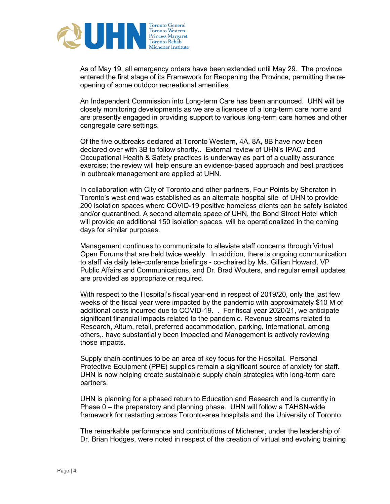

As of May 19, all emergency orders have been extended until May 29. The province entered the first stage of its Framework for Reopening the Province, permitting the reopening of some outdoor recreational amenities.

An Independent Commission into Long-term Care has been announced. UHN will be closely monitoring developments as we are a licensee of a long-term care home and are presently engaged in providing support to various long-term care homes and other congregate care settings.

Of the five outbreaks declared at Toronto Western, 4A, 8A, 8B have now been declared over with 3B to follow shortly.. External review of UHN's IPAC and Occupational Health & Safety practices is underway as part of a quality assurance exercise; the review will help ensure an evidence-based approach and best practices in outbreak management are applied at UHN.

In collaboration with City of Toronto and other partners, Four Points by Sheraton in Toronto's west end was established as an alternate hospital site of UHN to provide 200 isolation spaces where COVID-19 positive homeless clients can be safely isolated and/or quarantined. A second alternate space of UHN, the Bond Street Hotel which will provide an additional 150 isolation spaces, will be operationalized in the coming days for similar purposes.

Management continues to communicate to alleviate staff concerns through Virtual Open Forums that are held twice weekly. In addition, there is ongoing communication to staff via daily tele-conference briefings - co-chaired by Ms. Gillian Howard, VP Public Affairs and Communications, and Dr. Brad Wouters, and regular email updates are provided as appropriate or required.

With respect to the Hospital's fiscal year-end in respect of 2019/20, only the last few weeks of the fiscal year were impacted by the pandemic with approximately \$10 M of additional costs incurred due to COVID-19. . For fiscal year 2020/21, we anticipate significant financial impacts related to the pandemic. Revenue streams related to Research, Altum, retail, preferred accommodation, parking, International, among others,. have substantially been impacted and Management is actively reviewing those impacts.

Supply chain continues to be an area of key focus for the Hospital. Personal Protective Equipment (PPE) supplies remain a significant source of anxiety for staff. UHN is now helping create sustainable supply chain strategies with long-term care partners.

UHN is planning for a phased return to Education and Research and is currently in Phase 0 – the preparatory and planning phase. UHN will follow a TAHSN-wide framework for restarting across Toronto-area hospitals and the University of Toronto.

The remarkable performance and contributions of Michener, under the leadership of Dr. Brian Hodges, were noted in respect of the creation of virtual and evolving training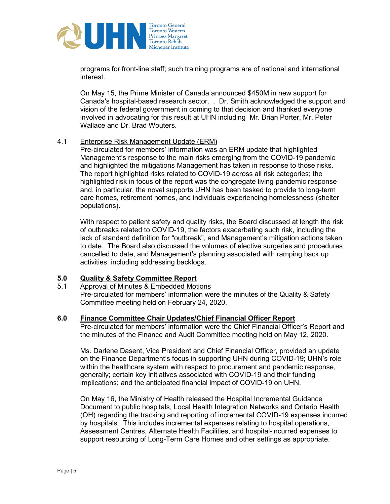

programs for front-line staff; such training programs are of national and international interest.

On May 15, the Prime Minister of Canada announced \$450M in new support for Canada's hospital-based research sector. . Dr. Smith acknowledged the support and vision of the federal government in coming to that decision and thanked everyone involved in advocating for this result at UHN including Mr. Brian Porter, Mr. Peter Wallace and Dr. Brad Wouters.

#### 4.1 Enterprise Risk Management Update (ERM)

Pre-circulated for members' information was an ERM update that highlighted Management's response to the main risks emerging from the COVID-19 pandemic and highlighted the mitigations Management has taken in response to those risks. The report highlighted risks related to COVID-19 across all risk categories; the highlighted risk in focus of the report was the congregate living pandemic response and, in particular, the novel supports UHN has been tasked to provide to long-term care homes, retirement homes, and individuals experiencing homelessness (shelter populations).

With respect to patient safety and quality risks, the Board discussed at length the risk of outbreaks related to COVID-19, the factors exacerbating such risk, including the lack of standard definition for "outbreak", and Management's mitigation actions taken to date. The Board also discussed the volumes of elective surgeries and procedures cancelled to date, and Management's planning associated with ramping back up activities, including addressing backlogs.

# **5.0 Quality & Safety Committee Report**

5.1 Approval of Minutes & Embedded Motions

Pre-circulated for members' information were the minutes of the Quality & Safety Committee meeting held on February 24, 2020.

#### **6.0 Finance Committee Chair Updates/Chief Financial Officer Report**

Pre-circulated for members' information were the Chief Financial Officer's Report and the minutes of the Finance and Audit Committee meeting held on May 12, 2020.

Ms. Darlene Dasent, Vice President and Chief Financial Officer, provided an update on the Finance Department's focus in supporting UHN during COVID-19; UHN's role within the healthcare system with respect to procurement and pandemic response, generally; certain key initiatives associated with COVID-19 and their funding implications; and the anticipated financial impact of COVID-19 on UHN.

On May 16, the Ministry of Health released the Hospital Incremental Guidance Document to public hospitals, Local Health Integration Networks and Ontario Health (OH) regarding the tracking and reporting of incremental COVID-19 expenses incurred by hospitals. This includes incremental expenses relating to hospital operations, Assessment Centres, Alternate Health Facilities, and hospital-incurred expenses to support resourcing of Long-Term Care Homes and other settings as appropriate.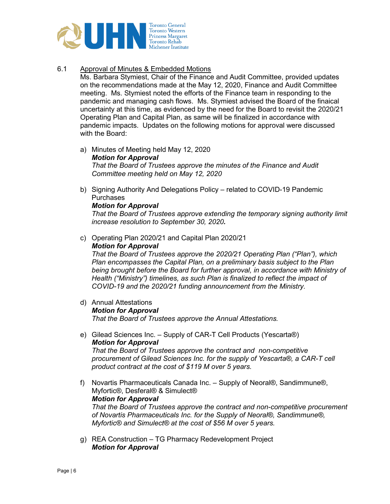

# 6.1 Approval of Minutes & Embedded Motions

Ms. Barbara Stymiest, Chair of the Finance and Audit Committee, provided updates on the recommendations made at the May 12, 2020, Finance and Audit Committee meeting. Ms. Stymiest noted the efforts of the Finance team in responding to the pandemic and managing cash flows. Ms. Stymiest advised the Board of the finaical uncertainty at this time, as evidenced by the need for the Board to revisit the 2020/21 Operating Plan and Capital Plan, as same will be finalized in accordance with pandemic impacts. Updates on the following motions for approval were discussed with the Board:

- a) Minutes of Meeting held May 12, 2020 *Motion for Approval That the Board of Trustees approve the minutes of the Finance and Audit Committee meeting held on May 12, 2020*
- b) Signing Authority And Delegations Policy related to COVID-19 Pandemic **Purchases**

#### *Motion for Approval*

*That the Board of Trustees approve extending the temporary signing authority limit increase resolution to September 30, 2020.* 

c) Operating Plan 2020/21 and Capital Plan 2020/21 *Motion for Approval* 

*That the Board of Trustees approve the 2020/21 Operating Plan ("Plan"), which Plan encompasses the Capital Plan, on a preliminary basis subject to the Plan being brought before the Board for further approval, in accordance with Ministry of Health ("Ministry") timelines, as such Plan is finalized to reflect the impact of COVID-19 and the 2020/21 funding announcement from the Ministry.* 

- d) Annual Attestations *Motion for Approval That the Board of Trustees approve the Annual Attestations.*
- e) Gilead Sciences Inc. Supply of CAR-T Cell Products (Yescarta®) *Motion for Approval That the Board of Trustees approve the contract and non-competitive procurement of Gilead Sciences Inc. for the supply of Yescarta®, a CAR-T cell product contract at the cost of \$119 M over 5 years.*
- f) Novartis Pharmaceuticals Canada Inc. Supply of Neoral®, Sandimmune®, Myfortic®, Desferal® & Simulect® *Motion for Approval That the Board of Trustees approve the contract and non-competitive procurement of Novartis Pharmaceuticals Inc. for the Supply of Neoral®, Sandimmune®, Myfortic® and Simulect® at the cost of \$56 M over 5 years.*
- g) REA Construction TG Pharmacy Redevelopment Project *Motion for Approval*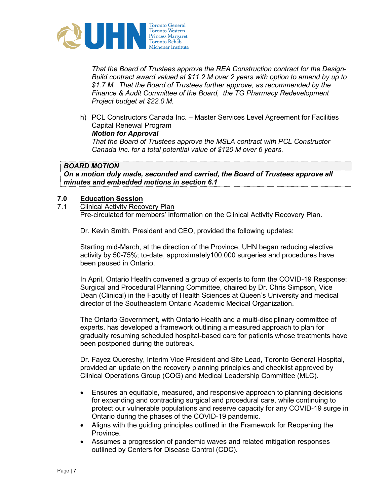

*That the Board of Trustees approve the REA Construction contract for the Design-Build contract award valued at \$11.2 M over 2 years with option to amend by up to \$1.7 M. That the Board of Trustees further approve, as recommended by the Finance & Audit Committee of the Board, the TG Pharmacy Redevelopment Project budget at \$22.0 M.* 

h) PCL Constructors Canada Inc. – Master Services Level Agreement for Facilities Capital Renewal Program

# *Motion for Approval*

*That the Board of Trustees approve the MSLA contract with PCL Constructor Canada Inc. for a total potential value of \$120 M over 6 years.* 

# *BOARD MOTION*

*On a motion duly made, seconded and carried, the Board of Trustees approve all minutes and embedded motions in section 6.1* 

# **7.0 Education Session**

**Clinical Activity Recovery Plan** Pre-circulated for members' information on the Clinical Activity Recovery Plan.

Dr. Kevin Smith, President and CEO, provided the following updates:

Starting mid-March, at the direction of the Province, UHN began reducing elective activity by 50-75%; to-date, approximately100,000 surgeries and procedures have been paused in Ontario.

In April, Ontario Health convened a group of experts to form the COVID-19 Response: Surgical and Procedural Planning Committee, chaired by Dr. Chris Simpson, Vice Dean (Clinical) in the Facutly of Health Sciences at Queen's University and medical director of the Southeastern Ontario Academic Medical Organization.

The Ontario Government, with Ontario Health and a multi-disciplinary committee of experts, has developed a framework outlining a measured approach to plan for gradually resuming scheduled hospital-based care for patients whose treatments have been postponed during the outbreak.

Dr. Fayez Quereshy, Interim Vice President and Site Lead, Toronto General Hospital, provided an update on the recovery planning principles and checklist approved by Clinical Operations Group (COG) and Medical Leadership Committee (MLC).

- Ensures an equitable, measured, and responsive approach to planning decisions for expanding and contracting surgical and procedural care, while continuing to protect our vulnerable populations and reserve capacity for any COVID-19 surge in Ontario during the phases of the COVID-19 pandemic.
- Aligns with the guiding principles outlined in the Framework for Reopening the Province.
- Assumes a progression of pandemic waves and related mitigation responses outlined by Centers for Disease Control (CDC).